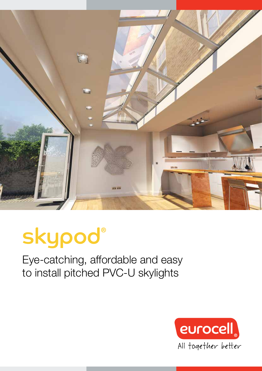

# skypod®

Eye-catching, affordable and easy to install pitched PVC-U skylights

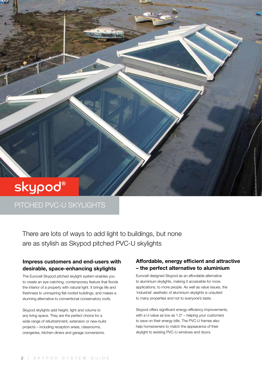# skypod®

#### PITCHED PVC-U SKYLIGHTS

There are lots of ways to add light to buildings, but none are as stylish as Skypod pitched PVC-U skylights

#### Impress customers and end-users with desirable, space-enhancing skylights

The Eurocell Skypod pitched skylight system enables you to create an eye-catching, contemporary feature that floods the interior of a property with natural light. It brings life and freshness to uninspiring flat-roofed buildings, and makes a stunning alternative to conventional conservatory roofs.

Skypod skylights add height, light and volume to any living space. They are the perfect choice for a wide range of refurbishment, extension or new-build projects – including reception areas, classrooms, orangeries, kitchen-diners and garage conversions.

#### Affordable, energy efficient and attractive – the perfect alternative to aluminium

Eurocell designed Skypod as an affordable alternative to aluminium skylights, making it accessible for more applications, to more people. As well as value issues, the 'industrial' aesthetic of aluminium skylights is unsuited to many properties and not to everyone's taste.

Skypod offers significant energy-efficiency improvements, with a U-value as low as  $1.0^*$  – helping your customers to save on their energy bills. The PVC-U frames also help homeowners to match the appearance of their skylight to existing PVC-U windows and doors.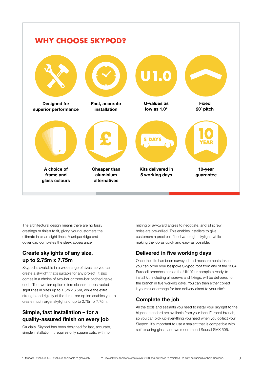

The architectural design means there are no fussy crestings or finials to fit, giving your customers the ultimate in clean sight-lines. A unique ridge end cover cap completes the sleek appearance.

#### Create skylights of any size, up to 2.75m x 7.75m

Skypod is available in a wide range of sizes, so you can create a skylight that's suitable for any project. It also comes in a choice of two-bar or three-bar pitched gable ends. The two-bar option offers cleaner, unobstructed sight lines in sizes up to 1.5m x 6.5m, while the extra strength and rigidity of the three-bar option enables you to create much larger skylights of up to 2.75m x 7.75m.

#### Simple, fast installation – for a quality-assured finish on every job

Crucially, Skypod has been designed for fast, accurate, simple installation. It requires only square cuts, with no

mitring or awkward angles to negotiate, and all screw holes are pre-drilled. This enables installers to give customers a precision-fitted watertight skylight, while making the job as quick and easy as possible.

#### Delivered in five working days

Once the site has been surveyed and measurements taken, you can order your bespoke Skypod roof from any of the 130+ Eurocell branches across the UK. Your complete ready-toinstall kit, including all screws and fixings, will be delivered to the branch in five working days. You can then either collect it yourself or arrange for free delivery direct to your site\*\*.

#### Complete the job

All the tools and sealants you need to install your skylight to the highest standard are available from your local Eurocell branch, so you can pick up everything you need when you collect your Skypod. It's important to use a sealant that is compatible with self-cleaning glass, and we recommend Soudal SMX 506.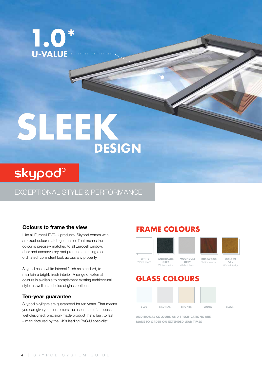$\frac{1}{2}$ 1.0 **U-VALUE** 

# 1 EK **DESIGN**

# skypod®

EXCEPTIONAL STYLE & PERFORMANCE

Like all Eurocell PVC-U products, Skypod comes with an exact colour-match guarantee. That means the colour is precisely matched to all Eurocell window, door and conservatory roof products, creating a coordinated, consistent look across any property.

Skypod has a white internal finish as standard, to maintain a bright, fresh interior. A range of external colours is available to complement existing architectural style, as well as a choice of glass options.

#### Ten-year guarantee

Skypod skylights are guaranteed for ten years. That means you can give your customers the assurance of a robust, well-designed, precision-made product that's built to last – manufactured by the UK's leading PVC-U specialist.

#### Colours to frame the view **FRAME COLOURS**



White interior

## GLASS COLOURS

White interior



ADDITIONAL COLOURS AND SPECIFICATIONS ARE MADE TO ORDER ON EXTENDED LEAD TIMES

OAK White interior

4 | SKYPOD SYSTEM GUIDE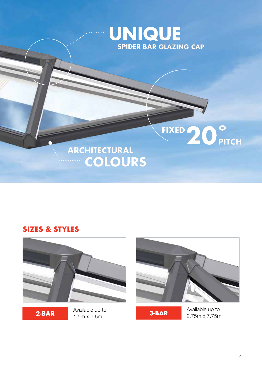

#### SIZES & STYLES



**2-BAR**  $1.5$ m x 6.5m **3-BAR** Available up to



Available up to 2.75m x 7.75m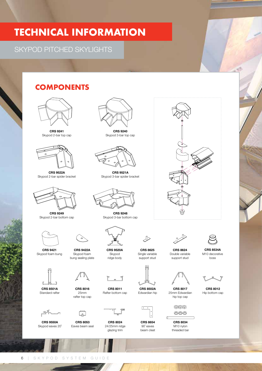### TECHNICAL INFORMATION

#### SKYPOD PITCHED SKYLIGHTS

#### **COMPONENTS**



CRS 9241 Skypod 2-bar top cap



CRS 9522A Skypod 2-bar spider bracket



CRS 9249 Skypod 2-bar bottom cap



CRS 9421 Skypod foam bung

CRS 8501A Standard rafter





CRS 9550A Skypod eaves 20˚

 $75$ 



CRS 8053 Eaves beam seal

 $\Box$ 

CRS 9422A Skypod foam bung sealing plate



CRS 8024 24/25mm ridge glazing trim

CRS 8011 Rafter bottom cap

CRS 9240 Skypod 3-bar top cap

CRS 9521A Skypod 3-bar spider bracket

CRS 9248 Skypod 3-bar bottom cap

> CRS 9520A Skypod ridge body



ি



CRS 8654 90˚ eaves beam cleat



CRS 8624 Double variable support stud

CRS 8017 25mm Edwardian hip top cap

> CRS 8034 M10 nylon threaded bar

 $@@@$ 

 $\circledcirc\circ$ 



CRS 8534A M10 decorative boss



CRS 8012 Hip bottom cap



CRS 8625 Single variable support stud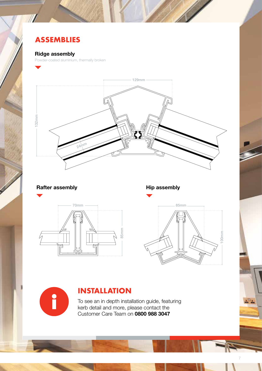### ASSEMBLIES

#### Ridge assembly

Powder-coated aluminium, thermally broken



#### Rafter assembly example and Hip assembly

r





7

#### INSTALLATION

To see an in depth installation guide, featuring kerb detail and more, please contact the Customer Care Team on 0800 988 3047